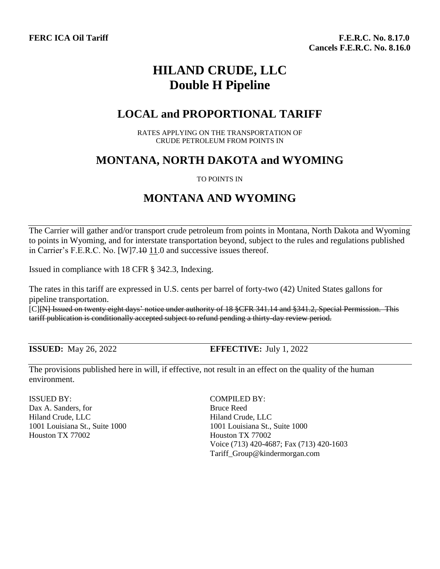**FERC ICA Oil Tariff Fig. 2.17.0 F.E.R.C. No. 8.17.0 F.E.R.C. No. 8.17.0 Cancels F.E.R.C. No. 8.16.0**

# **HILAND CRUDE, LLC Double H Pipeline**

### **LOCAL and PROPORTIONAL TARIFF**

RATES APPLYING ON THE TRANSPORTATION OF CRUDE PETROLEUM FROM POINTS IN

## **MONTANA, NORTH DAKOTA and WYOMING**

### TO POINTS IN

## **MONTANA AND WYOMING**

The Carrier will gather and/or transport crude petroleum from points in Montana, North Dakota and Wyoming to points in Wyoming, and for interstate transportation beyond, subject to the rules and regulations published in Carrier's F.E.R.C. No. [W]7.<del>10</del> 11.0 and successive issues thereof.

Issued in compliance with 18 CFR § 342.3, Indexing.

The rates in this tariff are expressed in U.S. cents per barrel of forty-two (42) United States gallons for pipeline transportation.

[C][N] Issued on twenty eight days' notice under authority of 18 §CFR 341.14 and §341.2, Special Permission. This tariff publication is conditionally accepted subject to refund pending a thirty-day review period.

**ISSUED**: May 26, 2022 **EFFECTIVE**: July 1, 2022

The provisions published here in will, if effective, not result in an effect on the quality of the human environment.

ISSUED BY: COMPILED BY: Dax A. Sanders, for Bruce Reed Hiland Crude, LLC Hiland Crude, LLC 1001 Louisiana St., Suite 1000 1001 Louisiana St., Suite 1000 Houston TX 77002 Houston TX 77002

Voice (713) 420-4687; Fax (713) 420-1603 Tariff\_Group@kindermorgan.com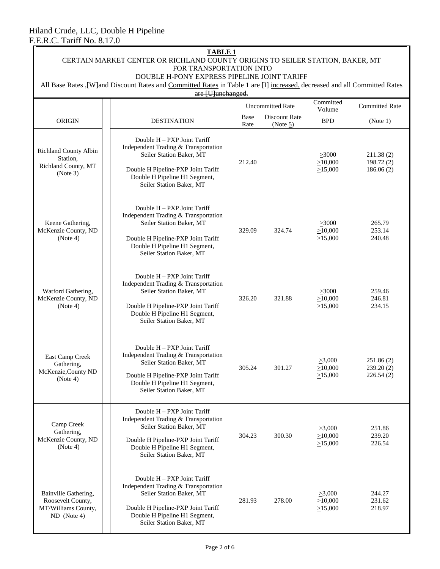| <b>TABLE 1</b><br>CERTAIN MARKET CENTER OR RICHLAND COUNTY ORIGINS TO SEILER STATION, BAKER, MT<br>FOR TRANSPORTATION INTO<br>DOUBLE H-PONY EXPRESS PIPELINE JOINT TARIFF |                                                                                                                                                                                                    |              |                                     |                                                |                                      |  |
|---------------------------------------------------------------------------------------------------------------------------------------------------------------------------|----------------------------------------------------------------------------------------------------------------------------------------------------------------------------------------------------|--------------|-------------------------------------|------------------------------------------------|--------------------------------------|--|
| All Base Rates , [W] and Discount Rates and Committed Rates in Table 1 are [I] increased. decreased and all Committed Rates                                               |                                                                                                                                                                                                    |              |                                     |                                                |                                      |  |
|                                                                                                                                                                           | are [U]unchanged.<br><b>Uncommitted Rate</b>                                                                                                                                                       |              |                                     | Committed<br>Volume                            | <b>Committed Rate</b>                |  |
| <b>ORIGIN</b>                                                                                                                                                             | <b>DESTINATION</b>                                                                                                                                                                                 | Base<br>Rate | <b>Discount Rate</b><br>(Note $5$ ) | <b>BPD</b>                                     | (Note 1)                             |  |
| Richland County Albin<br>Station,<br>Richland County, MT<br>(Note 3)                                                                                                      | Double H - PXP Joint Tariff<br>Independent Trading & Transportation<br>Seiler Station Baker, MT<br>Double H Pipeline-PXP Joint Tariff<br>Double H Pipeline H1 Segment,<br>Seiler Station Baker, MT | 212.40       |                                     | $\geq 3000$<br>$\geq 10,000$<br>$\geq 15,000$  | 211.38(2)<br>198.72(2)<br>186.06(2)  |  |
| Keene Gathering,<br>McKenzie County, ND<br>(Note 4)                                                                                                                       | Double H - PXP Joint Tariff<br>Independent Trading & Transportation<br>Seiler Station Baker, MT<br>Double H Pipeline-PXP Joint Tariff<br>Double H Pipeline H1 Segment,<br>Seiler Station Baker, MT | 329.09       | 324.74                              | $\geq 3000$<br>$\geq 10,000$<br>$\geq 15,000$  | 265.79<br>253.14<br>240.48           |  |
| Watford Gathering,<br>McKenzie County, ND<br>(Note 4)                                                                                                                     | Double H - PXP Joint Tariff<br>Independent Trading & Transportation<br>Seiler Station Baker, MT<br>Double H Pipeline-PXP Joint Tariff<br>Double H Pipeline H1 Segment,<br>Seiler Station Baker, MT | 326.20       | 321.88                              | $\geq 3000$<br>$\geq 10,000$<br>$\geq 15,000$  | 259.46<br>246.81<br>234.15           |  |
| East Camp Creek<br>Gathering,<br>McKenzie, County ND<br>(Note 4)                                                                                                          | Double H - PXP Joint Tariff<br>Independent Trading & Transportation<br>Seiler Station Baker, MT<br>Double H Pipeline-PXP Joint Tariff<br>Double H Pipeline H1 Segment,<br>Seiler Station Baker, MT | 305.24       | 301.27                              | $\geq 3,000$<br>$\geq 10,000$<br>>15,000       | 251.86(2)<br>239.20 (2)<br>226.54(2) |  |
| Camp Creek<br>Gathering,<br>McKenzie County, ND<br>(Note 4)                                                                                                               | Double H - PXP Joint Tariff<br>Independent Trading & Transportation<br>Seiler Station Baker, MT<br>Double H Pipeline-PXP Joint Tariff<br>Double H Pipeline H1 Segment,<br>Seiler Station Baker, MT | 304.23       | 300.30                              | $\geq 3,000$<br>$\geq 10,000$<br>$\geq 15,000$ | 251.86<br>239.20<br>226.54           |  |
| Bainville Gathering,<br>Roosevelt County,<br>MT/Williams County,<br>$ND$ (Note 4)                                                                                         | Double H - PXP Joint Tariff<br>Independent Trading & Transportation<br>Seiler Station Baker, MT<br>Double H Pipeline-PXP Joint Tariff<br>Double H Pipeline H1 Segment,<br>Seiler Station Baker, MT | 281.93       | 278.00                              | $\geq 3,000$<br>$\geq 10,000$<br>$\geq 15,000$ | 244.27<br>231.62<br>218.97           |  |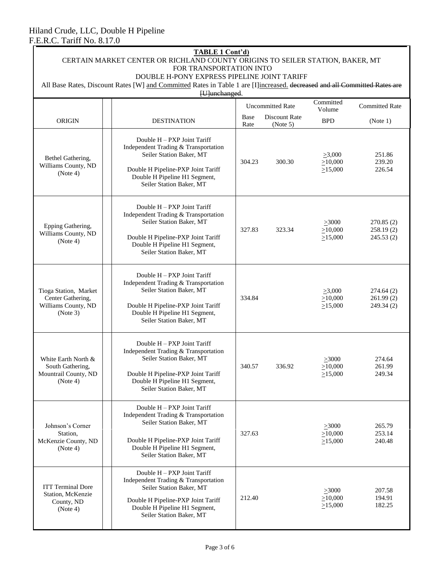| <b>TABLE 1 Cont'd)</b><br>CERTAIN MARKET CENTER OR RICHLAND COUNTY ORIGINS TO SEILER STATION, BAKER, MT<br>FOR TRANSPORTATION INTO                                       |                                                                                                                                                                                                    |                                           |        |                                                |                                       |  |
|--------------------------------------------------------------------------------------------------------------------------------------------------------------------------|----------------------------------------------------------------------------------------------------------------------------------------------------------------------------------------------------|-------------------------------------------|--------|------------------------------------------------|---------------------------------------|--|
| DOUBLE H-PONY EXPRESS PIPELINE JOINT TARIFF<br>All Base Rates, Discount Rates [W] and Committed Rates in Table 1 are [I]increased. decreased and all Committed Rates are |                                                                                                                                                                                                    |                                           |        |                                                |                                       |  |
|                                                                                                                                                                          | [U]unchanged.<br>Committed<br><b>Uncommitted Rate</b><br>Volume                                                                                                                                    |                                           |        |                                                |                                       |  |
| <b>ORIGIN</b>                                                                                                                                                            | <b>DESTINATION</b>                                                                                                                                                                                 | Discount Rate<br>Base<br>Rate<br>(Note 5) |        | <b>BPD</b>                                     | (Note 1)                              |  |
| Bethel Gathering,<br>Williams County, ND<br>(Note 4)                                                                                                                     | Double H - PXP Joint Tariff<br>Independent Trading & Transportation<br>Seiler Station Baker, MT<br>Double H Pipeline-PXP Joint Tariff<br>Double H Pipeline H1 Segment,<br>Seiler Station Baker, MT | 300.30<br>304.23                          |        | $\geq 3,000$<br>$\geq 10,000$<br>$\geq 15,000$ | 251.86<br>239.20<br>226.54            |  |
| Epping Gathering,<br>Williams County, ND<br>(Note 4)                                                                                                                     | Double H - PXP Joint Tariff<br>Independent Trading & Transportation<br>Seiler Station Baker, MT<br>Double H Pipeline-PXP Joint Tariff<br>Double H Pipeline H1 Segment,<br>Seiler Station Baker, MT | 327.83<br>323.34                          |        | $\geq 3000$<br>$\geq 10,000$<br>>15,000        | 270.85(2)<br>258.19(2)<br>245.53(2)   |  |
| Tioga Station, Market<br>Center Gathering,<br>Williams County, ND<br>(Note 3)                                                                                            | Double H - PXP Joint Tariff<br>Independent Trading & Transportation<br>Seiler Station Baker, MT<br>Double H Pipeline-PXP Joint Tariff<br>Double H Pipeline H1 Segment,<br>Seiler Station Baker, MT | 334.84                                    |        | $\geq 3,000$<br>$\geq 10,000$<br>$\geq 15,000$ | 274.64 (2)<br>261.99(2)<br>249.34 (2) |  |
| White Earth North &<br>South Gathering,<br>Mountrail County, ND<br>(Note 4)                                                                                              | Double H – PXP Joint Tariff<br>Independent Trading & Transportation<br>Seiler Station Baker, MT<br>Double H Pipeline-PXP Joint Tariff<br>Double H Pipeline H1 Segment,<br>Seiler Station Baker, MT | 340.57                                    | 336.92 | >3000<br>>10,000<br>$\geq 15,000$              | 274.64<br>261.99<br>249.34            |  |
| Johnson's Corner<br>Station,<br>McKenzie County, ND<br>(Note 4)                                                                                                          | Double H – PXP Joint Tariff<br>Independent Trading & Transportation<br>Seiler Station Baker, MT<br>Double H Pipeline-PXP Joint Tariff<br>Double H Pipeline H1 Segment,<br>Seiler Station Baker, MT | 327.63                                    |        | $\geq 3000$<br>$\geq 10,000$<br>>15,000        | 265.79<br>253.14<br>240.48            |  |
| <b>ITT Terminal Dore</b><br>Station, McKenzie<br>County, ND<br>(Note 4)                                                                                                  | Double H - PXP Joint Tariff<br>Independent Trading & Transportation<br>Seiler Station Baker, MT<br>Double H Pipeline-PXP Joint Tariff<br>Double H Pipeline H1 Segment,<br>Seiler Station Baker, MT | 212.40                                    |        | >3000<br>$\geq 10,000$<br>>15,000              | 207.58<br>194.91<br>182.25            |  |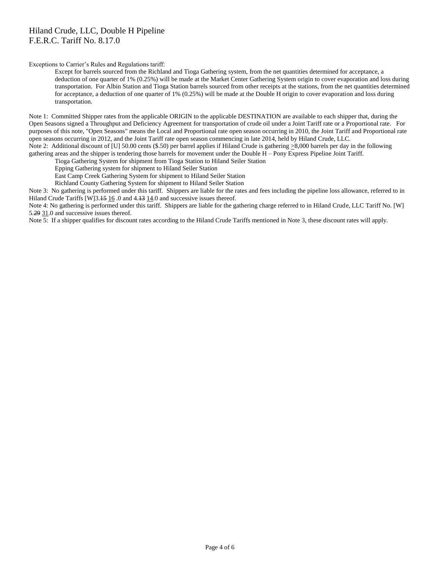### Hiland Crude, LLC, Double H Pipeline F.E.R.C. Tariff No. 8.17.0

Exceptions to Carrier's Rules and Regulations tariff:

Except for barrels sourced from the Richland and Tioga Gathering system, from the net quantities determined for acceptance, a deduction of one quarter of 1% (0.25%) will be made at the Market Center Gathering System origin to cover evaporation and loss during transportation. For Albin Station and Tioga Station barrels sourced from other receipts at the stations, from the net quantities determined for acceptance, a deduction of one quarter of 1% (0.25%) will be made at the Double H origin to cover evaporation and loss during transportation.

Note 1: Committed Shipper rates from the applicable ORIGIN to the applicable DESTINATION are available to each shipper that, during the Open Seasons signed a Throughput and Deficiency Agreement for transportation of crude oil under a Joint Tariff rate or a Proportional rate. For purposes of this note, "Open Seasons" means the Local and Proportional rate open season occurring in 2010, the Joint Tariff and Proportional rate open seasons occurring in 2012, and the Joint Tariff rate open season commencing in late 2014, held by Hiland Crude, LLC. Note 2: Additional discount of [U] 50.00 cents (\$.50) per barrel applies if Hiland Crude is gathering  $\geq 8,000$  barrels per day in the following

gathering areas and the shipper is tendering those barrels for movement under the Double H – Pony Express Pipeline Joint Tariff.

Tioga Gathering System for shipment from Tioga Station to Hiland Seiler Station

Epping Gathering system for shipment to Hiland Seiler Station

East Camp Creek Gathering System for shipment to Hiland Seiler Station

Richland County Gathering System for shipment to Hiland Seiler Station

Note 3: No gathering is performed under this tariff. Shippers are liable for the rates and fees including the pipeline loss allowance, referred to in Hiland Crude Tariffs [W]3.15 16 .0 and 4.13 14.0 and successive issues thereof.

Note 4: No gathering is performed under this tariff. Shippers are liable for the gathering charge referred to in Hiland Crude, LLC Tariff No. [W] 5.29 31.0 and successive issues thereof.

Note 5: If a shipper qualifies for discount rates according to the Hiland Crude Tariffs mentioned in Note 3, these discount rates will apply.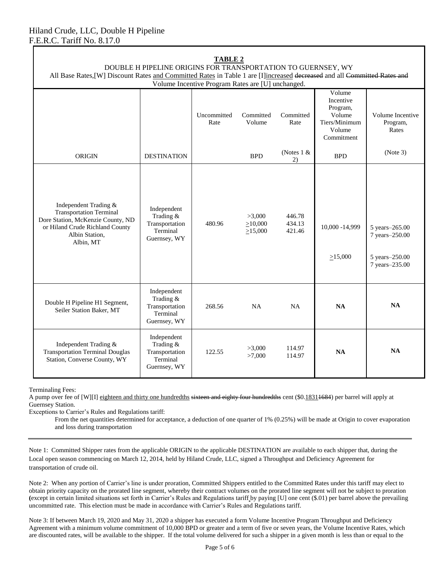| TABLE 2<br>DOUBLE H PIPELINE ORIGINS FOR TRANSPORTATION TO GUERNSEY, WY<br>All Base Rates, [W] Discount Rates and Committed Rates in Table 1 are [I]increased decreased and all Committed Rates and<br>Volume Incentive Program Rates are [U] unchanged. |                                                                        |                     |                                          |                            |                                                                                    |                                                                      |
|----------------------------------------------------------------------------------------------------------------------------------------------------------------------------------------------------------------------------------------------------------|------------------------------------------------------------------------|---------------------|------------------------------------------|----------------------------|------------------------------------------------------------------------------------|----------------------------------------------------------------------|
|                                                                                                                                                                                                                                                          |                                                                        | Uncommitted<br>Rate | Committed<br>Volume                      | Committed<br>Rate          | Volume<br>Incentive<br>Program,<br>Volume<br>Tiers/Minimum<br>Volume<br>Commitment | Volume Incentive<br>Program,<br>Rates                                |
| <b>ORIGIN</b>                                                                                                                                                                                                                                            | <b>DESTINATION</b>                                                     |                     | <b>BPD</b>                               | (Notes $1 \&$<br>2)        | <b>BPD</b>                                                                         | (Note 3)                                                             |
| Independent Trading &<br><b>Transportation Terminal</b><br>Dore Station, McKenzie County, ND<br>or Hiland Crude Richland County<br>Albin Station,<br>Albin, MT                                                                                           | Independent<br>Trading &<br>Transportation<br>Terminal<br>Guernsey, WY | 480.96              | >3,000<br>$\geq 10,000$<br>$\geq 15,000$ | 446.78<br>434.13<br>421.46 | 10,000 - 14,999<br>>15,000                                                         | 5 years-265.00<br>7 years-250.00<br>5 years-250.00<br>7 years-235.00 |
| Double H Pipeline H1 Segment,<br>Seiler Station Baker, MT                                                                                                                                                                                                | Independent<br>Trading &<br>Transportation<br>Terminal<br>Guernsey, WY | 268.56              | <b>NA</b>                                | <b>NA</b>                  | NA                                                                                 | <b>NA</b>                                                            |
| Independent Trading &<br><b>Transportation Terminal Douglas</b><br>Station, Converse County, WY                                                                                                                                                          | Independent<br>Trading &<br>Transportation<br>Terminal<br>Guernsey, WY | 122.55              | >3,000<br>>7,000                         | 114.97<br>114.97           | <b>NA</b>                                                                          | NA                                                                   |

**TABLE 2**

Terminaling Fees:

A pump over fee of [W][I] eighteen and thirty one hundredths sixteen and eighty four hundredths cent (\$0.18314684) per barrel will apply at Guernsey Station.

Exceptions to Carrier's Rules and Regulations tariff:

From the net quantities determined for acceptance, a deduction of one quarter of 1% (0.25%) will be made at Origin to cover evaporation and loss during transportation

Note 1: Committed Shipper rates from the applicable ORIGIN to the applicable DESTINATION are available to each shipper that, during the Local open season commencing on March 12, 2014, held by Hiland Crude, LLC, signed a Throughput and Deficiency Agreement for transportation of crude oil.

Note 2: When any portion of Carrier's line is under proration, Committed Shippers entitled to the Committed Rates under this tariff may elect to obtain priority capacity on the prorated line segment, whereby their contract volumes on the prorated line segment will not be subject to proration **(**except in certain limited situations set forth in Carrier's Rules and Regulations tariff by paying [U] one cent (\$.01) per barrel above the prevailing uncommitted rate. This election must be made in accordance with Carrier's Rules and Regulations tariff.

Note 3: If between March 19, 2020 and May 31, 2020 a shipper has executed a form Volume Incentive Program Throughput and Deficiency Agreement with a minimum volume commitment of 10,000 BPD or greater and a term of five or seven years, the Volume Incentive Rates, which are discounted rates, will be available to the shipper. If the total volume delivered for such a shipper in a given month is less than or equal to the